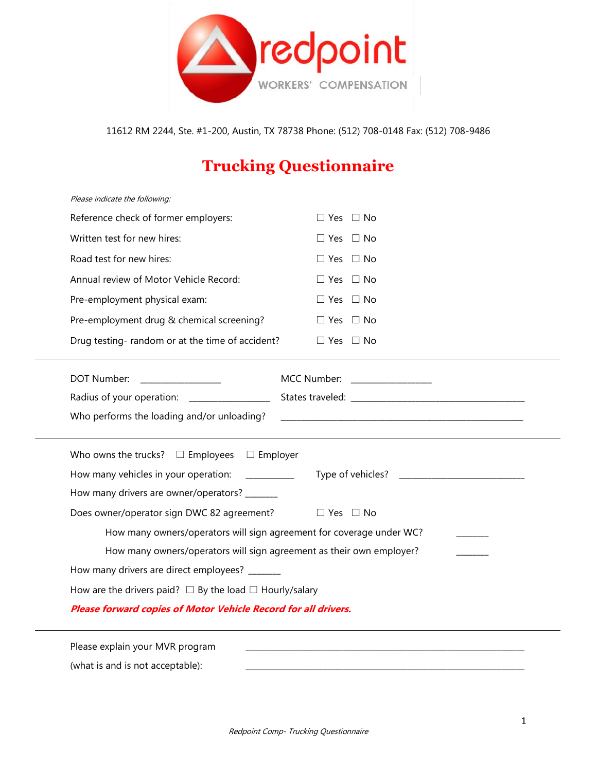

11612 RM 2244, Ste. #1-200, Austin, TX 78738 Phone: (512) 708-0148 Fax: (512) 708-9486

## **Trucking Questionnaire**

| Please explain your MVR program                                      |                              |
|----------------------------------------------------------------------|------------------------------|
| Please forward copies of Motor Vehicle Record for all drivers.       |                              |
| How are the drivers paid? $\Box$ By the load $\Box$ Hourly/salary    |                              |
| How many drivers are direct employees? ______                        |                              |
| How many owners/operators will sign agreement as their own employer? |                              |
| How many owners/operators will sign agreement for coverage under WC? |                              |
| Does owner/operator sign DWC 82 agreement?                           | $\Box$ Yes $\Box$ No         |
| How many drivers are owner/operators? _______                        |                              |
| How many vehicles in your operation:                                 |                              |
| Who owns the trucks? $\Box$ Employees $\Box$ Employer                |                              |
| Who performs the loading and/or unloading?                           |                              |
| Radius of your operation: ________________                           |                              |
| DOT Number:                                                          | MCC Number: ________________ |
| Drug testing-random or at the time of accident?                      | $\Box$ Yes $\Box$ No         |
| Pre-employment drug & chemical screening?                            | $\Box$ Yes $\Box$ No         |
| Pre-employment physical exam:                                        | $\Box$ Yes $\Box$ No         |
| Annual review of Motor Vehicle Record:                               | $\Box$ Yes $\Box$ No         |
| Road test for new hires:                                             | $\Box$ Yes $\Box$ No         |
| Written test for new hires:                                          | $\Box$ Yes $\Box$ No         |
| Reference check of former employers:                                 | $\Box$ Yes $\Box$ No         |
| Please indicate the following:                                       |                              |

(what is and is not acceptable):